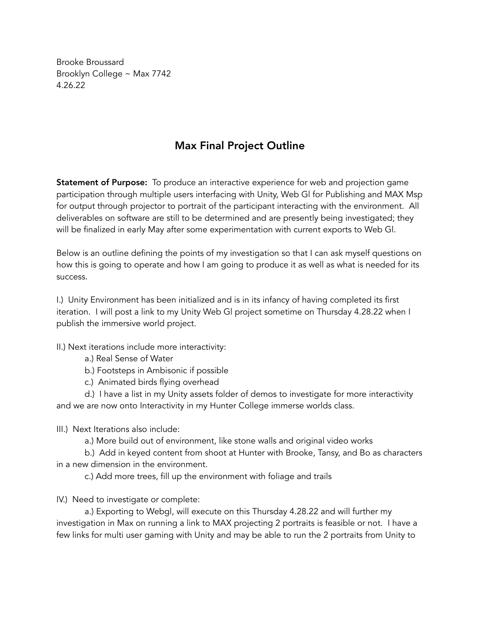Brooke Broussard Brooklyn College ~ Max 7742 4.26.22

## Max Final Project Outline

Statement of Purpose: To produce an interactive experience for web and projection game participation through multiple users interfacing with Unity, Web Gl for Publishing and MAX Msp for output through projector to portrait of the participant interacting with the environment. All deliverables on software are still to be determined and are presently being investigated; they will be finalized in early May after some experimentation with current exports to Web Gl.

Below is an outline defining the points of my investigation so that I can ask myself questions on how this is going to operate and how I am going to produce it as well as what is needed for its success.

I.) Unity Environment has been initialized and is in its infancy of having completed its first iteration. I will post a link to my Unity Web Gl project sometime on Thursday 4.28.22 when I publish the immersive world project.

II.) Next iterations include more interactivity:

- a.) Real Sense of Water
- b.) Footsteps in Ambisonic if possible
- c.) Animated birds flying overhead

d.) I have a list in my Unity assets folder of demos to investigate for more interactivity and we are now onto Interactivity in my Hunter College immerse worlds class.

- III.) Next Iterations also include:
	- a.) More build out of environment, like stone walls and original video works

b.) Add in keyed content from shoot at Hunter with Brooke, Tansy, and Bo as characters in a new dimension in the environment.

c.) Add more trees, fill up the environment with foliage and trails

IV.) Need to investigate or complete:

a.) Exporting to Webgl, will execute on this Thursday 4.28.22 and will further my investigation in Max on running a link to MAX projecting 2 portraits is feasible or not. I have a few links for multi user gaming with Unity and may be able to run the 2 portraits from Unity to